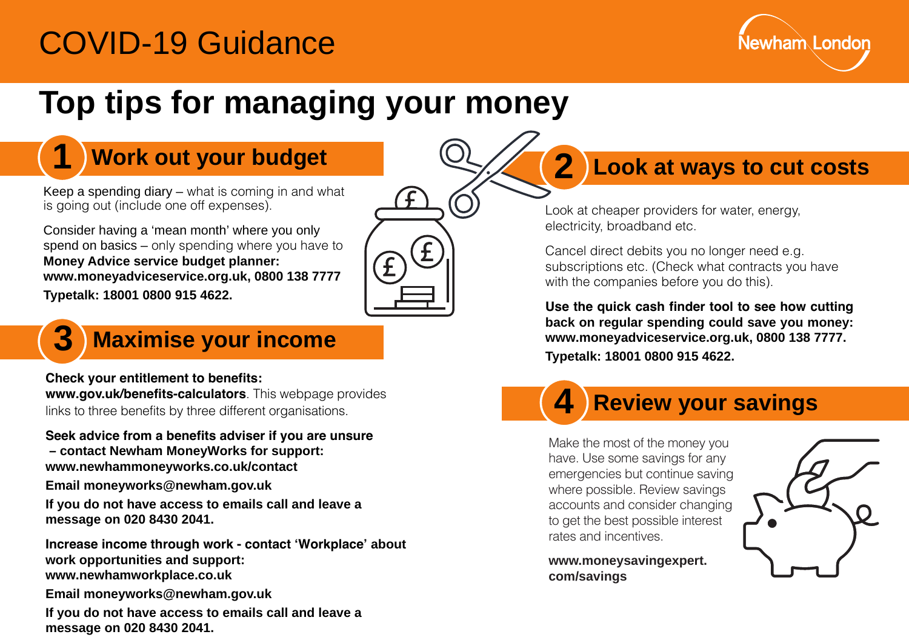# COVID-19 Guidance



# **Top tips for managing your money**

Keep a spending diary – what is coming in and what is going out (include one off expenses).

 **Money Advice service budget planner:** Consider having a 'mean month' where you only spend on basics – only spending where you have to **[www.moneyadviceservice.org.uk,](www.moneyadviceservice.org.uk) 0800 138 7777 Typetalk: 18001 0800 915 4622.** 



#### **3 Maximise your income**

**Check your entitlement to benefits: <www.gov.uk/benefits-calculators>**. This webpage provides links to three benefits by three different organisations.

**Seek advice from a benefits adviser if you are unsure – contact Newham MoneyWorks for support: <www.newhammoneyworks.co.uk/contact>**

**Email moneyworks@newham.gov.uk** 

**If you do not have access to emails call and leave a message on 020 8430 2041.** 

**Increase income through work - contact 'Workplace' about work opportunities and support: <www.newhamworkplace.co.uk>**

**Email moneyworks@newham.gov.uk** 

**If you do not have access to emails call and leave a message on 020 8430 2041.** 

# **1 Work out your budget**  $\mathbb{Q}/\mathbb{Z}$  **2 Look at ways to cut costs**

Look at cheaper providers for water, energy, electricity, broadband etc.

Cancel direct debits you no longer need e.g. subscriptions etc. (Check what contracts you have with the companies before you do this).

**Use the quick cash finder tool to see how cutting back on regular spending could save you money: [www.moneyadviceservice.org.uk,](www.moneyadviceservice.org.uk) 0800 138 7777. Typetalk: 18001 0800 915 4622.** 

## **4 Review your savings**

Make the most of the money you have. Use some savings for any emergencies but continue saving where possible. Review savings accounts and consider changing to get the best possible interest rates and incentives.

**[www.moneysavingexpert.](www.moneysavingexpert) com/savings**